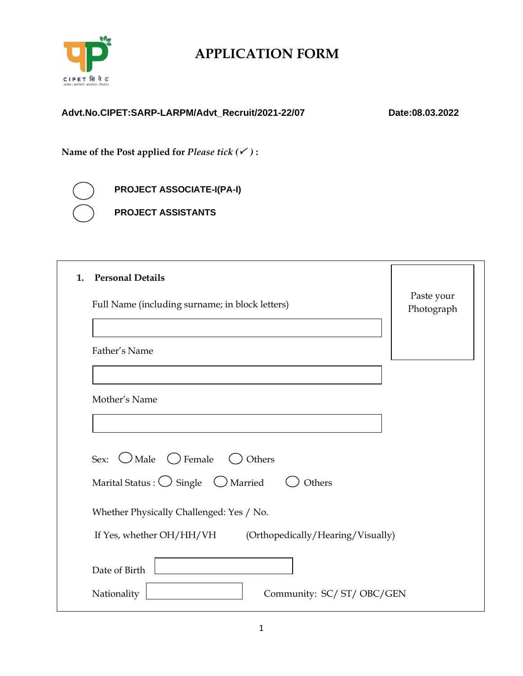

# **APPLICATION FORM**

### **Advt.No.CIPET:SARP-LARPM/Advt\_Recruit/2021-22/07 Date:08.03.2022**

**Name of the Post applied for** *Please tick ( )* **:**

**PROJECT ASSOCIATE-I(PA-I) PROJECT ASSISTANTS**

| <b>Personal Details</b><br>1.                                   |                          |
|-----------------------------------------------------------------|--------------------------|
| Full Name (including surname; in block letters)                 | Paste your<br>Photograph |
|                                                                 |                          |
| Father's Name                                                   |                          |
|                                                                 |                          |
| Mother's Name                                                   |                          |
|                                                                 |                          |
|                                                                 |                          |
| Sex: $\bigcirc$ Male $\bigcirc$ Female<br>( ) Others            |                          |
| Marital Status : $\bigcirc$ Single $\bigcirc$ Married<br>Others |                          |
| Whether Physically Challenged: Yes / No.                        |                          |
| If Yes, whether OH/HH/VH<br>(Orthopedically/Hearing/Visually)   |                          |
| Date of Birth                                                   |                          |
| Nationality<br>Community: SC/ ST/ OBC/GEN                       |                          |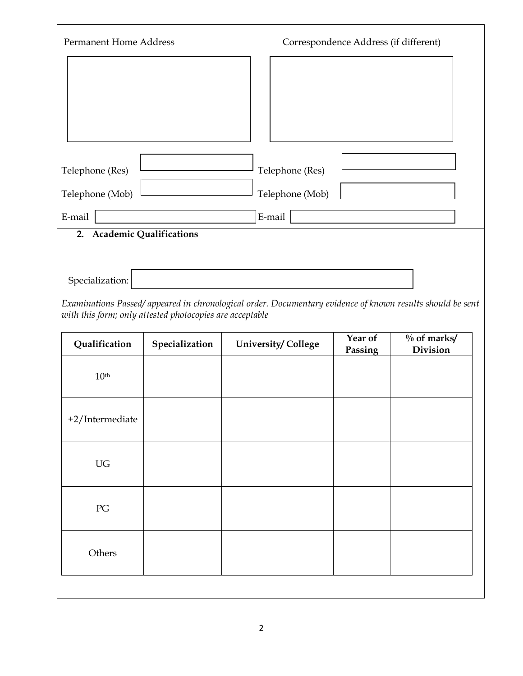| <b>Permanent Home Address</b> | Correspondence Address (if different) |
|-------------------------------|---------------------------------------|
|                               |                                       |
|                               |                                       |
|                               |                                       |
|                               |                                       |
| Telephone (Res)               | Telephone (Res)                       |
| Telephone (Mob)               | Telephone (Mob)                       |
| E-mail                        | E-mail                                |
| 2. Academic Qualifications    |                                       |
|                               |                                       |
| Specialization:               |                                       |

*Examinations Passed/ appeared in chronological order. Documentary evidence of known results should be sent with this form; only attested photocopies are acceptable*

| Qualification             | Specialization | <b>University/College</b> | Year of<br>Passing | $\%$ of marks/<br>Division |
|---------------------------|----------------|---------------------------|--------------------|----------------------------|
| 10 <sup>th</sup>          |                |                           |                    |                            |
| $+2/$ Intermediate        |                |                           |                    |                            |
| UG                        |                |                           |                    |                            |
| $\mathcal{P} \mathcal{G}$ |                |                           |                    |                            |
| Others                    |                |                           |                    |                            |
|                           |                |                           |                    |                            |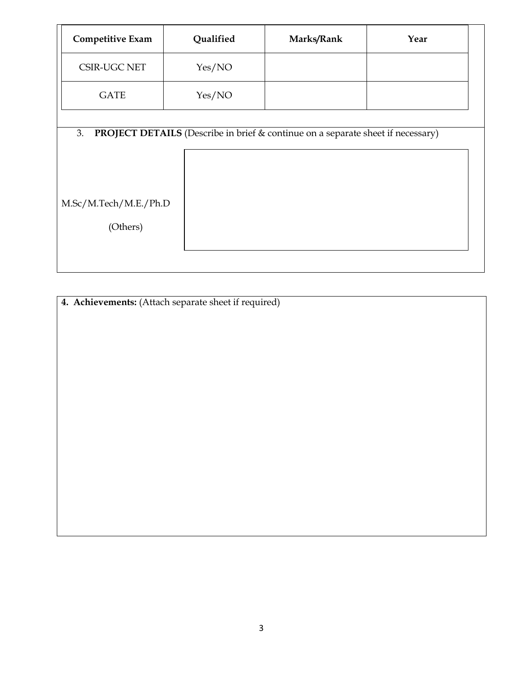| <b>Competitive Exam</b>                 | Qualified                                                                              | Marks/Rank | Year |
|-----------------------------------------|----------------------------------------------------------------------------------------|------------|------|
| <b>CSIR-UGC NET</b>                     | Yes/NO                                                                                 |            |      |
| <b>GATE</b>                             | Yes/NO                                                                                 |            |      |
| 3.<br>M.Sc/M.Tech/M.E./Ph.D<br>(Others) | <b>PROJECT DETAILS</b> (Describe in brief & continue on a separate sheet if necessary) |            |      |

**4. Achievements:** (Attach separate sheet if required)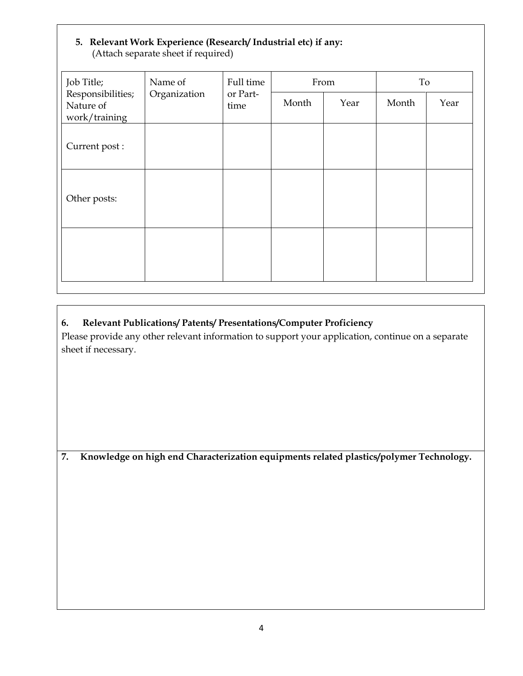#### **5. Relevant Work Experience (Research/ Industrial etc) if any:** (Attach separate sheet if required)

| Job Title;                                      | Name of      | Full time        |       | From | To    |      |
|-------------------------------------------------|--------------|------------------|-------|------|-------|------|
| Responsibilities;<br>Nature of<br>work/training | Organization | or Part-<br>time | Month | Year | Month | Year |
| Current post :                                  |              |                  |       |      |       |      |
| Other posts:                                    |              |                  |       |      |       |      |
|                                                 |              |                  |       |      |       |      |

## **6. Relevant Publications/ Patents/ Presentations/Computer Proficiency**

Please provide any other relevant information to support your application, continue on a separate sheet if necessary.

**7. Knowledge on high end Characterization equipments related plastics/polymer Technology.**